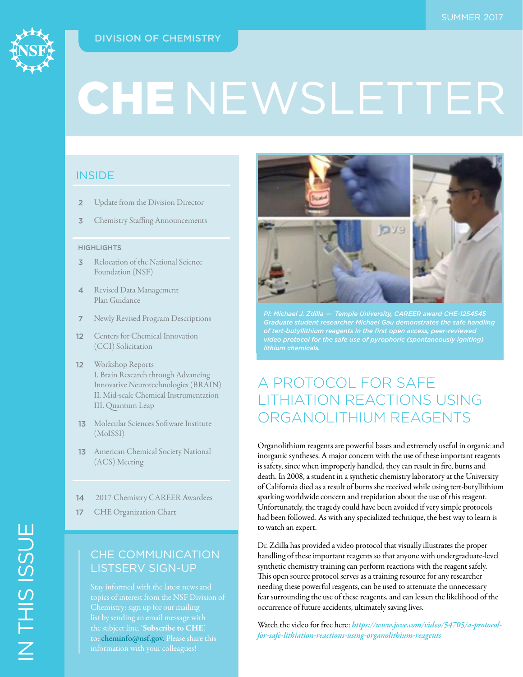# DIVISION OF CHEMISTRY



# CHE NEWSLETTER

# **INSIDE**

- 2 Update from the Division Director
- **3** Chemistry Staffing Announcements

#### **HIGHLIGHTS**

- **3** Relocation of the National Science Foundation (NSF)
- 4 Revised Data Management Plan Guidance
- 7 Newly Revised Program Descriptions
- 12 Centers for Chemical Innovation (CCI) Solicitation
- 12 Workshop Reports I. Brain Research through Advancing Innovative Neurotechnologies (BRAIN) II. Mid-scale Chemical Instrumentation III. Quantum Leap
- 13 Molecular Sciences Software Institute (MoISSI)
- 13 American Chemical Society National (ACS) Meeting
- 14 2017 Chemistry CAREER Awardees
- 17 CHE Organization Chart

# LISTSERV SIGN-UP

to: [cheminfo@nsf.gov](mailto:cheminfo%40nsf.gov?subject=). Please share this



*PI: Michael J. Zdilla — Temple University, CAREER award CHE-1254545 Graduate student researcher Michael Gau demonstrates the safe handling of tert-butyllithium reagents in the first open access, peer-reviewed video protocol for the safe use of pyrophoric (spontaneously igniting)* 

# A PROTOCOL FOR SAFE LITHIATION REACTIONS USING ORGANOLITHIUM REAGENTS

Organolithium reagents are powerful bases and extremely useful in organic and inorganic syntheses. A major concern with the use of these important reagents is safety, since when improperly handled, they can result in fire, burns and death. In 2008, a student in a synthetic chemistry laboratory at the University of California died as a result of burns she received while using tert-butyllithium sparking worldwide concern and trepidation about the use of this reagent. Unfortunately, the tragedy could have been avoided if very simple protocols had been followed. As with any specialized technique, the best way to learn is to watch an expert.

Dr. Zdilla has provided a video protocol that visually illustrates the proper handling of these important reagents so that anyone with undergraduate-level synthetic chemistry training can perform reactions with the reagent safely. This open source protocol serves as a training resource for any researcher needing these powerful reagents, can be used to attenuate the unnecessary fear surrounding the use of these reagents, and can lessen the likelihood of the occurrence of future accidents, ultimately saving lives.

Watch the video for free here: *[https://www.jove.com/video/54705/a-protocol](https://www.nsf.gov/cgi-bin/goodbye?https://www.jove.com/video/54705/a-protocol-for-safe-lithiation-reactions-using-organolithium-reagents)[for-safe-lithiation-reactions-using-organolithium-reagents](https://www.nsf.gov/cgi-bin/goodbye?https://www.jove.com/video/54705/a-protocol-for-safe-lithiation-reactions-using-organolithium-reagents)*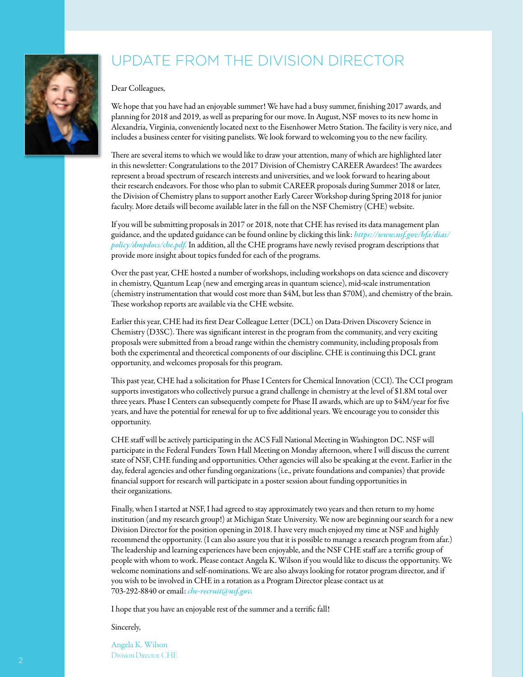# UPDATE FROM THE DIVISION DIRECTOR

#### Dear Colleagues,

We hope that you have had an enjoyable summer! We have had a busy summer, finishing 2017 awards, and planning for 2018 and 2019, as well as preparing for our move. In August, NSF moves to its new home in Alexandria, Virginia, conveniently located next to the Eisenhower Metro Station. The facility is very nice, and includes a business center for visiting panelists. We look forward to welcoming you to the new facility.

There are several items to which we would like to draw your attention, many of which are highlighted later in this newsletter: Congratulations to the 2017 Division of Chemistry CAREER Awardees! The awardees represent a broad spectrum of research interests and universities, and we look forward to hearing about their research endeavors. For those who plan to submit CAREER proposals during Summer 2018 or later, the Division of Chemistry plans to support another Early Career Workshop during Spring 2018 for junior faculty. More details will become available later in the fall on the NSF Chemistry (CHE) website.

If you will be submitting proposals in 2017 or 2018, note that CHE has revised its data management plan guidance, and the updated guidance can be found online by clicking this link: *[https://www.nsf.gov/bfa/dias/](https://www.nsf.gov/bfa/dias/policy/dmpdocs/che.pdf) [policy/dmpdocs/che.pdf.](https://www.nsf.gov/bfa/dias/policy/dmpdocs/che.pdf)* In addition, all the CHE programs have newly revised program descriptions that provide more insight about topics funded for each of the programs.

Over the past year, CHE hosted a number of workshops, including workshops on data science and discovery in chemistry, Quantum Leap (new and emerging areas in quantum science), mid-scale instrumentation (chemistry instrumentation that would cost more than \$4M, but less than \$70M), and chemistry of the brain. These workshop reports are available via the CHE website.

Earlier this year, CHE had its first Dear Colleague Letter (DCL) on Data-Driven Discovery Science in Chemistry (D3SC). There was significant interest in the program from the community, and very exciting proposals were submitted from a broad range within the chemistry community, including proposals from both the experimental and theoretical components of our discipline. CHE is continuing this DCL grant opportunity, and welcomes proposals for this program.

This past year, CHE had a solicitation for Phase I Centers for Chemical Innovation (CCI). The CCI program supports investigators who collectively pursue a grand challenge in chemistry at the level of \$1.8M total over three years. Phase I Centers can subsequently compete for Phase II awards, which are up to \$4M/year for five years, and have the potential for renewal for up to five additional years. We encourage you to consider this opportunity.

CHE staff will be actively participating in the ACS Fall National Meeting in Washington DC. NSF will participate in the Federal Funders Town Hall Meeting on Monday afternoon, where I will discuss the current state of NSF, CHE funding and opportunities. Other agencies will also be speaking at the event. Earlier in the day, federal agencies and other funding organizations (i.e., private foundations and companies) that provide financial support for research will participate in a poster session about funding opportunities in their organizations.

Finally, when I started at NSF, I had agreed to stay approximately two years and then return to my home institution (and my research group!) at Michigan State University. We now are beginning our search for a new Division Director for the position opening in 2018. I have very much enjoyed my time at NSF and highly recommend the opportunity. (I can also assure you that it is possible to manage a research program from afar.) The leadership and learning experiences have been enjoyable, and the NSF CHE staff are a terrific group of people with whom to work. Please contact Angela K. Wilson if you would like to discuss the opportunity. We welcome nominations and self-nominations. We are also always looking for rotator program director, and if you wish to be involved in CHE in a rotation as a Program Director please contact us at 703-292-8840 or email: *[che-recruit@nsf.gov.](mailto:che-recruit%40nsf.gov?subject=Summer%20Newsletter)*

I hope that you have an enjoyable rest of the summer and a terrific fall!

#### Sincerely,

Angela K. Wilson Division Director, CHE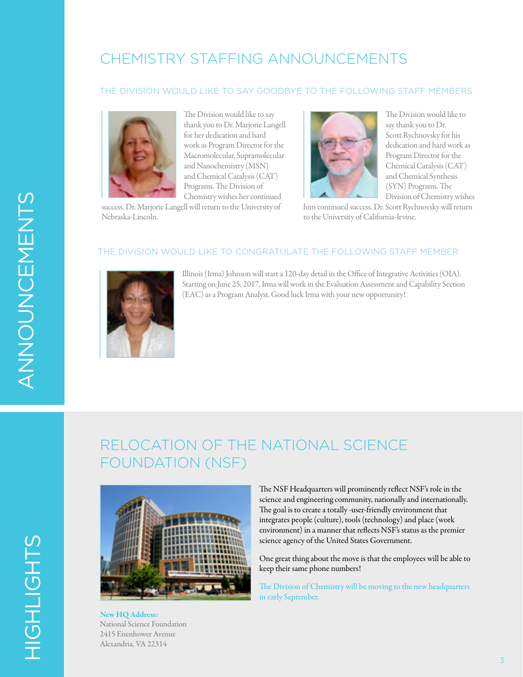# CHEMISTRY STAFFING ANNOUNCEMENTS

#### THE DIVISION WOULD LIKE TO SAY GOODBYE TO THE FOLLOWING STAFF MEMBERS



The Division would like to say thank you to Dr. Marjorie Langell for her dedication and hard work as Program Director for the Macromolecular, Supramolecular and Nanochemistry (MSN) and Chemical Catalysis (CAT) Programs. The Division of Chemistry wishes her continued

success. Dr. Marjorie Langell will return to the University of Nebraska-Lincoln.



The Division would like to say thank you to Dr. Scott Rychnovsky for his dedication and hard work as Program Director for the Chemical Catalysis (CAT) and Chemical Synthesis (SYN) Programs. The Division of Chemistry wishes

him continued success. Dr. Scott Rychnovsky will return to the University of California-Irvine.

#### THE DIVISION WOULD LIKE TO CONGRATULATE THE FOLLOWING STAFF MEMBER



Illinois (Irma) Johnson will start a 120-day detail in the Office of Integrative Activities (OIA). Starting on June 25, 2017, Irma will work in the Evaluation Assessment and Capability Section (EAC) as a Program Analyst. Good luck Irma with your new opportunity!

# RELOCATION OF THE NATIONAL SCIENCE FOUNDATION (NSF)



New HQ Address: National Science Foundation 2415 Eisenhower Avenue Alexandria, VA 22314

The NSF Headquarters will prominently reflect NSF's role in the science and engineering community, nationally and internationally. The goal is to create a totally -user-friendly environment that integrates people (culture), tools (technology) and place (work environment) in a manner that reflects NSF's status as the premier science agency of the United States Government.

One great thing about the move is that the employees will be able to keep their same phone numbers!

The Division of Chemistry will be moving to the new headquarters in early September.

HIGHLIGHTS

HIGHLIGHTS

3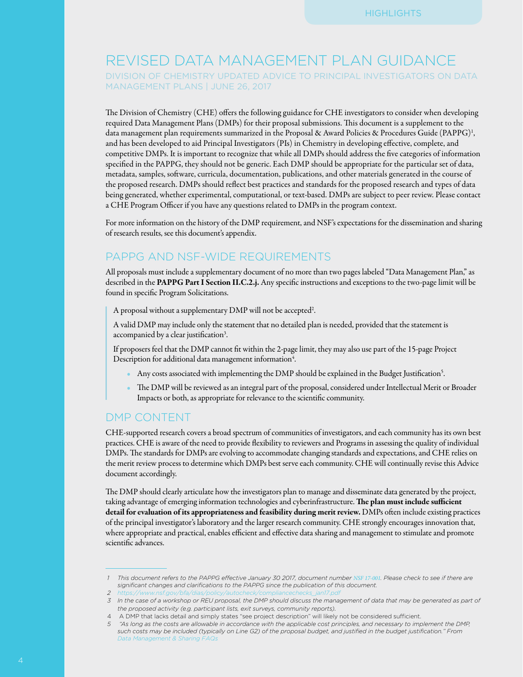# REVISED DATA MANAGEMENT PLAN GUIDANCE

DIVISION OF CHEMISTRY UPDATED ADVICE TO PRINCIPAL INVESTIGATORS ON DATA MANAGEMENT PLANS | JUNE 26, 2017

The Division of Chemistry (CHE) offers the following guidance for CHE investigators to consider when developing required Data Management Plans (DMPs) for their proposal submissions. This document is a supplement to the data management plan requirements summarized in the Proposal & Award Policies & Procedures Guide (PAPPG)<sup>1</sup>, and has been developed to aid Principal Investigators (PIs) in Chemistry in developing effective, complete, and competitive DMPs. It is important to recognize that while all DMPs should address the five categories of information specified in the PAPPG, they should not be generic. Each DMP should be appropriate for the particular set of data, metadata, samples, software, curricula, documentation, publications, and other materials generated in the course of the proposed research. DMPs should reflect best practices and standards for the proposed research and types of data being generated, whether experimental, computational, or text-based. DMPs are subject to peer review. Please contact a CHE Program Officer if you have any questions related to DMPs in the program context.

For more information on the history of the DMP requirement, and NSF's expectations for the dissemination and sharing of research results, see this document's appendix.

## PAPPG AND NSF-WIDE REQUIREMENTS

All proposals must include a supplementary document of no more than two pages labeled "Data Management Plan," as described in the PAPPG Part I Section II.C.2.j. Any specific instructions and exceptions to the two-page limit will be found in specific Program Solicitations.

A proposal without a supplementary DMP will not be accepted<sup>2</sup>.

A valid DMP may include only the statement that no detailed plan is needed, provided that the statement is accompanied by a clear justification<sup>3</sup>.

If proposers feel that the DMP cannot fit within the 2-page limit, they may also use part of the 15-page Project Description for additional data management information<sup>4</sup>.

- Any costs associated with implementing the DMP should be explained in the Budget Justification<sup>5</sup>.
- The DMP will be reviewed as an integral part of the proposal, considered under Intellectual Merit or Broader Impacts or both, as appropriate for relevance to the scientific community.

## DMP CONTENT

CHE-supported research covers a broad spectrum of communities of investigators, and each community has its own best practices. CHE is aware of the need to provide flexibility to reviewers and Programs in assessing the quality of individual DMPs. The standards for DMPs are evolving to accommodate changing standards and expectations, and CHE relies on the merit review process to determine which DMPs best serve each community. CHE will continually revise this Advice document accordingly.

The DMP should clearly articulate how the investigators plan to manage and disseminate data generated by the project, taking advantage of emerging information technologies and cyberinfrastructure. The plan must include sufficient detail for evaluation of its appropriateness and feasibility during merit review. DMPs often include existing practices of the principal investigator's laboratory and the larger research community. CHE strongly encourages innovation that, where appropriate and practical, enables efficient and effective data sharing and management to stimulate and promote scientific advances.

*<sup>1</sup> This document refers to the PAPPG effective January 30 2017, document number [NSF 17-001](https://www.nsf.gov/publications/pub_summ.jsp?ods_key=nsf17001). Please check to see if there are significant changes and clarifications to the PAPPG since the publication of this document.*

*<sup>2</sup> [https://www.nsf.gov/bfa/dias/policy/autocheck/compliancechecks\\_jan17.pd](https://www.nsf.gov/bfa/dias/policy/autocheck/compliancechecks_jan17.pdf)f*

*<sup>3</sup> In the case of a workshop or REU proposal, the DMP should discuss the management of data that may be generated as part of the proposed activity (e.g. participant lists, exit surveys, community reports).*

<sup>4</sup> A DMP that lacks detail and simply states "see project description" will likely not be considered sufficient.

*<sup>5 &</sup>quot;As long as the costs are allowable in accordance with the applicable cost principles, and necessary to implement the DMP, such costs may be included (typically on Line G2) of the proposal budget, and justified in the budget justification." From Data [Management & Sharing](https://www.nsf.gov/bfa/dias/policy/dmpfaqs.jsp) FAQs*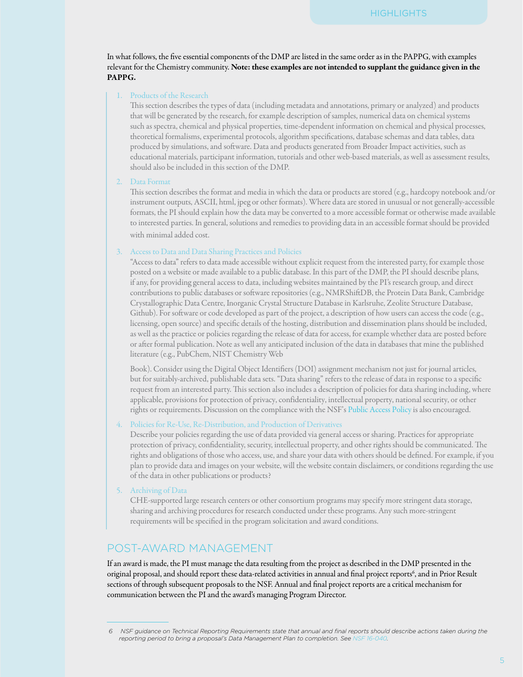In what follows, the five essential components of the DMP are listed in the same order as in the PAPPG, with examples relevant for the Chemistry community. Note: these examples are not intended to supplant the guidance given in the PAPPG.

#### 1. Products of the Research

This section describes the types of data (including metadata and annotations, primary or analyzed) and products that will be generated by the research, for example description of samples, numerical data on chemical systems such as spectra, chemical and physical properties, time-dependent information on chemical and physical processes, theoretical formalisms, experimental protocols, algorithm specifications, database schemas and data tables, data produced by simulations, and software. Data and products generated from Broader Impact activities, such as educational materials, participant information, tutorials and other web-based materials, as well as assessment results, should also be included in this section of the DMP.

#### 2. Data Format

This section describes the format and media in which the data or products are stored (e.g., hardcopy notebook and/or instrument outputs, ASCII, html, jpeg or other formats). Where data are stored in unusual or not generally-accessible formats, the PI should explain how the data may be converted to a more accessible format or otherwise made available to interested parties. In general, solutions and remedies to providing data in an accessible format should be provided with minimal added cost.

#### 3. Access to Data and Data Sharing Practices and Policies

"Access to data" refers to data made accessible without explicit request from the interested party, for example those posted on a website or made available to a public database. In this part of the DMP, the PI should describe plans, if any, for providing general access to data, including websites maintained by the PI's research group, and direct contributions to public databases or software repositories (e.g., NMRShiftDB, the Protein Data Bank, Cambridge Crystallographic Data Centre, Inorganic Crystal Structure Database in Karlsruhe, Zeolite Structure Database, Github). For software or code developed as part of the project, a description of how users can access the code (e.g., licensing, open source) and specific details of the hosting, distribution and dissemination plans should be included, as well as the practice or policies regarding the release of data for access, for example whether data are posted before or after formal publication. Note as well any anticipated inclusion of the data in databases that mine the published literature (e.g., PubChem, NIST Chemistry Web

Book). Consider using the Digital Object Identifiers (DOI) assignment mechanism not just for journal articles, but for suitably-archived, publishable data sets. "Data sharing" refers to the release of data in response to a specific request from an interested party. This section also includes a description of policies for data sharing including, where applicable, provisions for protection of privacy, confidentiality, intellectual property, national security, or other rights or requirements. Discussion on the compliance with the NSF's [Public Access Policy](https://www.nsf.gov/news/special_reports/public_access/index.jsp) is also encouraged.

4. Policies for Re-Use, Re-Distribution, and Production of Derivatives

Describe your policies regarding the use of data provided via general access or sharing. Practices for appropriate protection of privacy, confidentiality, security, intellectual property, and other rights should be communicated. The rights and obligations of those who access, use, and share your data with others should be defined. For example, if you plan to provide data and images on your website, will the website contain disclaimers, or conditions regarding the use of the data in other publications or products?

#### 5. Archiving of Data

CHE-supported large research centers or other consortium programs may specify more stringent data storage, sharing and archiving procedures for research conducted under these programs. Any such more-stringent requirements will be specified in the program solicitation and award conditions.

## POST-AWARD MANAGEMENT

If an award is made, the PI must manage the data resulting from the project as described in the DMP presented in the original proposal, and should report these data-related activities in annual and final project reports<sup>6</sup>, and in Prior Result sections of through subsequent proposals to the NSF. Annual and final project reports are a critical mechanism for communication between the PI and the award's managing Program Director.

*<sup>6</sup> NSF guidance on Technical Reporting Requirements state that annual and final reports should describe actions taken during the reporting period to bring a proposal's Data Management Plan to completion. See [NSF 16-040](https://www.nsf.gov/publications/pub_summ.jsp?ods_key=nsf16040).*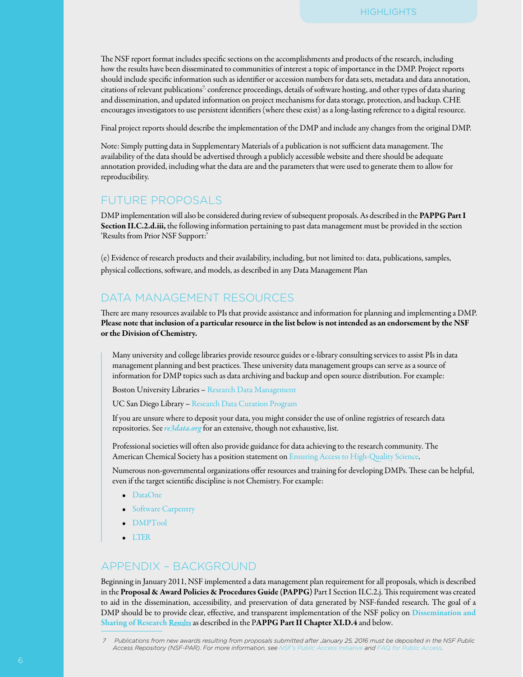The NSF report format includes specific sections on the accomplishments and products of the research, including how the results have been disseminated to communities of interest a topic of importance in the DMP. Project reports should include specific information such as identifier or accession numbers for data sets, metadata and data annotation, citations of relevant publications<sup>7,</sup> conference proceedings, details of software hosting, and other types of data sharing and dissemination, and updated information on project mechanisms for data storage, protection, and backup. CHE encourages investigators to use persistent identifiers (where these exist) as a long-lasting reference to a digital resource.

Final project reports should describe the implementation of the DMP and include any changes from the original DMP.

Note: Simply putting data in Supplementary Materials of a publication is not sufficient data management. The availability of the data should be advertised through a publicly accessible website and there should be adequate annotation provided, including what the data are and the parameters that were used to generate them to allow for reproducibility.

#### FUTURE PROPOSALS

DMP implementation will also be considered during review of subsequent proposals. As described in the PAPPG Part I Section II.C.2.d.iii, the following information pertaining to past data management must be provided in the section 'Results from Prior NSF Support:'

(e) Evidence of research products and their availability, including, but not limited to: data, publications, samples, physical collections, software, and models, as described in any Data Management Plan

## DATA MANAGEMENT RESOURCES

There are many resources available to PIs that provide assistance and information for planning and implementing a DMP. Please note that inclusion of a particular resource in the list below is not intended as an endorsement by the NSF or the Division of Chemistry.

Many university and college libraries provide resource guides or e-library consulting services to assist PIs in data management planning and best practices. These university data management groups can serve as a source of information for DMP topics such as data archiving and backup and open source distribution. For example:

Boston University Libraries – [Research Data Management](https://www.nsf.gov/cgi-bin/goodbye?http://www.bu.edu/datamanagement/resources/templates/)

UC San Diego Library – [Research Data Curation Program](https://www.nsf.gov/cgi-bin/goodbye?http://libraries.ucsd.edu/services/data-curation/index.html)

If you are unsure where to deposit your data, you might consider the use of online registries of research data repositories. See*[re3data.org](https://www.nsf.gov/cgi-bin/goodbye?http://www.re3data.org/)* for an extensive, though not exhaustive, list.

Professional societies will often also provide guidance for data achieving to the research community. The American Chemical Society has a position statement on [Ensuring Access to High-Quality Science.](https://www.nsf.gov/cgi-bin/goodbye?https://www.acs.org/content/acs/en/policy/publicpolicies/science-policy/highqualityscience.html)

Numerous non-governmental organizations offer resources and training for developing DMPs. These can be helpful, even if the target scientific discipline is not Chemistry. For example:

- [DataOne](https://www.nsf.gov/cgi-bin/goodbye?https://www.dataone.org/all-best-practices)
- [Software Carpentry](https://www.nsf.gov/cgi-bin/goodbye?https://software-carpentry.org/)
- [DMPTool](https://www.nsf.gov/cgi-bin/goodbye?https://dmptool.org/)
- [LTER](https://www.nsf.gov/cgi-bin/goodbye?http://intranet2.lternet.edu/node/3248)

## APPENDIX – BACKGROUND

Beginning in January 2011, NSF implemented a data management plan requirement for all proposals, which is described in the Proposal & Award Policies & Procedures Guide (PAPPG) Part I Section II.C.2.j. This requirement was created to aid in the dissemination, accessibility, and preservation of data generated by NSF-funded research. The goal of a DMP should be to provide clear, effective, and transparent implementation of the NSF policy on [Dissemination and](https://www.nsf.gov/bfa/dias/policy/dmp.jsp) [Sharing of Research](https://www.nsf.gov/bfa/dias/policy/dmp.jsp) Results as described in the PAPPG Part II Chapter XI.D.4 and below.

*<sup>7</sup> Publications from new awards resulting from proposals submitted after January 25, 2016 must be deposited in the NSF Public Access Repository (NSF-PAR). For more information, see [NSF's Public Access Initiative](https://www.nsf.gov/news/special_reports/public_access/) and [FAQ for Public Access](https://www.nsf.gov/publications/pub_summ.jsp?ods_key=nsf17060).*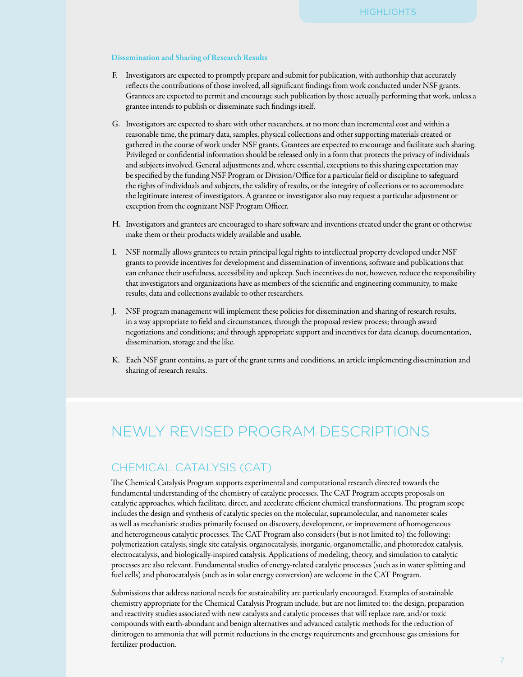#### Dissemination and Sharing of Research Results

- F. Investigators are expected to promptly prepare and submit for publication, with authorship that accurately reflects the contributions of those involved, all significant findings from work conducted under NSF grants. Grantees are expected to permit and encourage such publication by those actually performing that work, unless a grantee intends to publish or disseminate such findings itself.
- G. Investigators are expected to share with other researchers, at no more than incremental cost and within a reasonable time, the primary data, samples, physical collections and other supporting materials created or gathered in the course of work under NSF grants. Grantees are expected to encourage and facilitate such sharing. Privileged or confidential information should be released only in a form that protects the privacy of individuals and subjects involved. General adjustments and, where essential, exceptions to this sharing expectation may be specified by the funding NSF Program or Division/Office for a particular field or discipline to safeguard the rights of individuals and subjects, the validity of results, or the integrity of collections or to accommodate the legitimate interest of investigators. A grantee or investigator also may request a particular adjustment or exception from the cognizant NSF Program Officer.
- H. Investigators and grantees are encouraged to share software and inventions created under the grant or otherwise make them or their products widely available and usable.
- I. NSF normally allows grantees to retain principal legal rights to intellectual property developed under NSF grants to provide incentives for development and dissemination of inventions, software and publications that can enhance their usefulness, accessibility and upkeep. Such incentives do not, however, reduce the responsibility that investigators and organizations have as members of the scientific and engineering community, to make results, data and collections available to other researchers.
- J. NSF program management will implement these policies for dissemination and sharing of research results, in a way appropriate to field and circumstances, through the proposal review process; through award negotiations and conditions; and through appropriate support and incentives for data cleanup, documentation, dissemination, storage and the like.
- K. Each NSF grant contains, as part of the grant terms and conditions, an article implementing dissemination and sharing of research results.

# NEWLY REVISED PROGRAM DESCRIPTIONS

## CHEMICAL CATALYSIS (CAT)

The Chemical Catalysis Program supports experimental and computational research directed towards the fundamental understanding of the chemistry of catalytic processes. The CAT Program accepts proposals on catalytic approaches, which facilitate, direct, and accelerate efficient chemical transformations. The program scope includes the design and synthesis of catalytic species on the molecular, supramolecular, and nanometer scales as well as mechanistic studies primarily focused on discovery, development, or improvement of homogeneous and heterogeneous catalytic processes. The CAT Program also considers (but is not limited to) the following: polymerization catalysis, single site catalysis, organocatalysis, inorganic, organometallic, and photoredox catalysis, electrocatalysis, and biologically-inspired catalysis. Applications of modeling, theory, and simulation to catalytic processes are also relevant. Fundamental studies of energy-related catalytic processes (such as in water splitting and fuel cells) and photocatalysis (such as in solar energy conversion) are welcome in the CAT Program.

Submissions that address national needs for sustainability are particularly encouraged. Examples of sustainable chemistry appropriate for the Chemical Catalysis Program include, but are not limited to: the design, preparation and reactivity studies associated with new catalysts and catalytic processes that will replace rare, and/or toxic compounds with earth-abundant and benign alternatives and advanced catalytic methods for the reduction of dinitrogen to ammonia that will permit reductions in the energy requirements and greenhouse gas emissions for fertilizer production.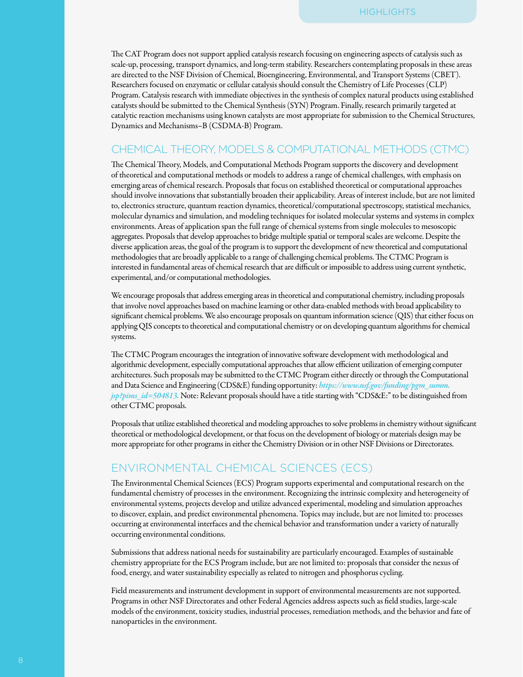The CAT Program does not support applied catalysis research focusing on engineering aspects of catalysis such as scale-up, processing, transport dynamics, and long-term stability. Researchers contemplating proposals in these areas are directed to the NSF Division of Chemical, Bioengineering, Environmental, and Transport Systems (CBET). Researchers focused on enzymatic or cellular catalysis should consult the Chemistry of Life Processes (CLP) Program. Catalysis research with immediate objectives in the synthesis of complex natural products using established catalysts should be submitted to the Chemical Synthesis (SYN) Program. Finally, research primarily targeted at catalytic reaction mechanisms using known catalysts are most appropriate for submission to the Chemical Structures, Dynamics and Mechanisms–B (CSDMA-B) Program.

## CHEMICAL THEORY, MODELS & COMPUTATIONAL METHODS (CTMC)

The Chemical Theory, Models, and Computational Methods Program supports the discovery and development of theoretical and computational methods or models to address a range of chemical challenges, with emphasis on emerging areas of chemical research. Proposals that focus on established theoretical or computational approaches should involve innovations that substantially broaden their applicability. Areas of interest include, but are not limited to, electronics structure, quantum reaction dynamics, theoretical/computational spectroscopy, statistical mechanics, molecular dynamics and simulation, and modeling techniques for isolated molecular systems and systems in complex environments. Areas of application span the full range of chemical systems from single molecules to mesoscopic aggregates. Proposals that develop approaches to bridge multiple spatial or temporal scales are welcome. Despite the diverse application areas, the goal of the program is to support the development of new theoretical and computational methodologies that are broadly applicable to a range of challenging chemical problems. The CTMC Program is interested in fundamental areas of chemical research that are difficult or impossible to address using current synthetic, experimental, and/or computational methodologies.

We encourage proposals that address emerging areas in theoretical and computational chemistry, including proposals that involve novel approaches based on machine learning or other data-enabled methods with broad applicability to significant chemical problems. We also encourage proposals on quantum information science (QIS) that either focus on applying QIS concepts to theoretical and computational chemistry or on developing quantum algorithms for chemical systems.

The CTMC Program encourages the integration of innovative software development with methodological and algorithmic development, especially computational approaches that allow efficient utilization of emerging computer architectures. Such proposals may be submitted to the CTMC Program either directly or through the Computational and Data Science and Engineering (CDS&E) funding opportunity: *[https://www.nsf.gov/funding/pgm\\_summ.](https://www.nsf.gov/funding/pgm_summ.jsp?pims_id=504813) [jsp?pims\\_id=504813](https://www.nsf.gov/funding/pgm_summ.jsp?pims_id=504813).* Note: Relevant proposals should have a title starting with "CDS&E:" to be distinguished from other CTMC proposals.

Proposals that utilize established theoretical and modeling approaches to solve problems in chemistry without significant theoretical or methodological development, or that focus on the development of biology or materials design may be more appropriate for other programs in either the Chemistry Division or in other NSF Divisions or Directorates.

## ENVIRONMENTAL CHEMICAL SCIENCES (ECS)

The Environmental Chemical Sciences (ECS) Program supports experimental and computational research on the fundamental chemistry of processes in the environment. Recognizing the intrinsic complexity and heterogeneity of environmental systems, projects develop and utilize advanced experimental, modeling and simulation approaches to discover, explain, and predict environmental phenomena. Topics may include, but are not limited to: processes occurring at environmental interfaces and the chemical behavior and transformation under a variety of naturally occurring environmental conditions.

Submissions that address national needs for sustainability are particularly encouraged. Examples of sustainable chemistry appropriate for the ECS Program include, but are not limited to: proposals that consider the nexus of food, energy, and water sustainability especially as related to nitrogen and phosphorus cycling.

Field measurements and instrument development in support of environmental measurements are not supported. Programs in other NSF Directorates and other Federal Agencies address aspects such as field studies, large-scale models of the environment, toxicity studies, industrial processes, remediation methods, and the behavior and fate of nanoparticles in the environment.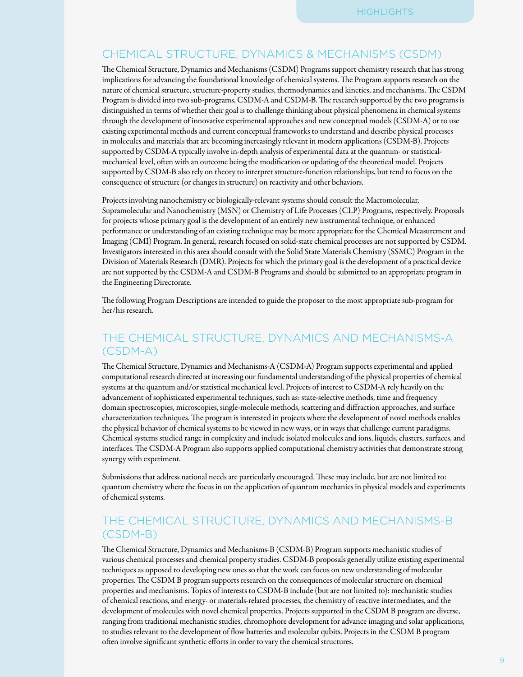## CHEMICAL STRUCTURE, DYNAMICS & MECHANISMS (CSDM)

The Chemical Structure, Dynamics and Mechanisms (CSDM) Programs support chemistry research that has strong implications for advancing the foundational knowledge of chemical systems. The Program supports research on the nature of chemical structure, structure-property studies, thermodynamics and kinetics, and mechanisms. The CSDM Program is divided into two sub-programs, CSDM-A and CSDM-B. The research supported by the two programs is distinguished in terms of whether their goal is to challenge thinking about physical phenomena in chemical systems through the development of innovative experimental approaches and new conceptual models (CSDM-A) or to use existing experimental methods and current conceptual frameworks to understand and describe physical processes in molecules and materials that are becoming increasingly relevant in modern applications (CSDM-B). Projects supported by CSDM-A typically involve in-depth analysis of experimental data at the quantum- or statisticalmechanical level, often with an outcome being the modification or updating of the theoretical model. Projects supported by CSDM-B also rely on theory to interpret structure-function relationships, but tend to focus on the consequence of structure (or changes in structure) on reactivity and other behaviors.

Projects involving nanochemistry or biologically-relevant systems should consult the Macromolecular, Supramolecular and Nanochemistry (MSN) or Chemistry of Life Processes (CLP) Programs, respectively. Proposals for projects whose primary goal is the development of an entirely new instrumental technique, or enhanced performance or understanding of an existing technique may be more appropriate for the Chemical Measurement and Imaging (CMI) Program. In general, research focused on solid-state chemical processes are not supported by CSDM. Investigators interested in this area should consult with the Solid State Materials Chemistry (SSMC) Program in the Division of Materials Research (DMR). Projects for which the primary goal is the development of a practical device are not supported by the CSDM-A and CSDM-B Programs and should be submitted to an appropriate program in the Engineering Directorate.

The following Program Descriptions are intended to guide the proposer to the most appropriate sub-program for her/his research.

## THE CHEMICAL STRUCTURE, DYNAMICS AND MECHANISMS-A (CSDM-A)

The Chemical Structure, Dynamics and Mechanisms-A (CSDM-A) Program supports experimental and applied computational research directed at increasing our fundamental understanding of the physical properties of chemical systems at the quantum and/or statistical mechanical level. Projects of interest to CSDM-A rely heavily on the advancement of sophisticated experimental techniques, such as: state-selective methods, time and frequency domain spectroscopies, microscopies, single-molecule methods, scattering and diffraction approaches, and surface characterization techniques. The program is interested in projects where the development of novel methods enables the physical behavior of chemical systems to be viewed in new ways, or in ways that challenge current paradigms. Chemical systems studied range in complexity and include isolated molecules and ions, liquids, clusters, surfaces, and interfaces. The CSDM-A Program also supports applied computational chemistry activities that demonstrate strong synergy with experiment.

Submissions that address national needs are particularly encouraged. These may include, but are not limited to: quantum chemistry where the focus in on the application of quantum mechanics in physical models and experiments of chemical systems.

## THE CHEMICAL STRUCTURE, DYNAMICS AND MECHANISMS-B (CSDM-B)

The Chemical Structure, Dynamics and Mechanisms-B (CSDM-B) Program supports mechanistic studies of various chemical processes and chemical property studies. CSDM-B proposals generally utilize existing experimental techniques as opposed to developing new ones so that the work can focus on new understanding of molecular properties. The CSDM B program supports research on the consequences of molecular structure on chemical properties and mechanisms. Topics of interests to CSDM-B include (but are not limited to): mechanistic studies of chemical reactions, and energy- or materials-related processes, the chemistry of reactive intermediates, and the development of molecules with novel chemical properties. Projects supported in the CSDM B program are diverse, ranging from traditional mechanistic studies, chromophore development for advance imaging and solar applications, to studies relevant to the development of flow batteries and molecular qubits. Projects in the CSDM B program often involve significant synthetic efforts in order to vary the chemical structures.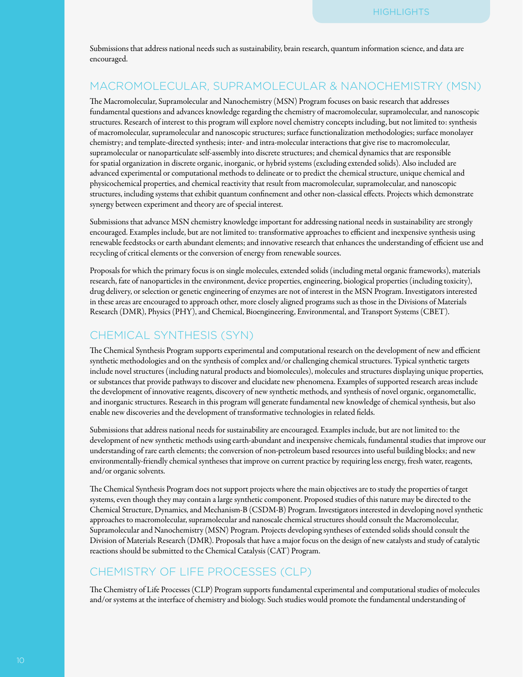Submissions that address national needs such as sustainability, brain research, quantum information science, and data are encouraged.

## MACROMOLECULAR, SUPRAMOLECULAR & NANOCHEMISTRY (MSN)

The Macromolecular, Supramolecular and Nanochemistry (MSN) Program focuses on basic research that addresses fundamental questions and advances knowledge regarding the chemistry of macromolecular, supramolecular, and nanoscopic structures. Research of interest to this program will explore novel chemistry concepts including, but not limited to: synthesis of macromolecular, supramolecular and nanoscopic structures; surface functionalization methodologies; surface monolayer chemistry; and template-directed synthesis; inter- and intra-molecular interactions that give rise to macromolecular, supramolecular or nanoparticulate self-assembly into discrete structures; and chemical dynamics that are responsible for spatial organization in discrete organic, inorganic, or hybrid systems (excluding extended solids). Also included are advanced experimental or computational methods to delineate or to predict the chemical structure, unique chemical and physicochemical properties, and chemical reactivity that result from macromolecular, supramolecular, and nanoscopic structures, including systems that exhibit quantum confinement and other non-classical effects. Projects which demonstrate synergy between experiment and theory are of special interest.

Submissions that advance MSN chemistry knowledge important for addressing national needs in sustainability are strongly encouraged. Examples include, but are not limited to: transformative approaches to efficient and inexpensive synthesis using renewable feedstocks or earth abundant elements; and innovative research that enhances the understanding of efficient use and recycling of critical elements or the conversion of energy from renewable sources.

Proposals for which the primary focus is on single molecules, extended solids (including metal organic frameworks), materials research, fate of nanoparticles in the environment, device properties, engineering, biological properties (including toxicity), drug delivery, or selection or genetic engineering of enzymes are not of interest in the MSN Program. Investigators interested in these areas are encouraged to approach other, more closely aligned programs such as those in the Divisions of Materials Research (DMR), Physics (PHY), and Chemical, Bioengineering, Environmental, and Transport Systems (CBET).

# CHEMICAL SYNTHESIS (SYN)

The Chemical Synthesis Program supports experimental and computational research on the development of new and efficient synthetic methodologies and on the synthesis of complex and/or challenging chemical structures. Typical synthetic targets include novel structures (including natural products and biomolecules), molecules and structures displaying unique properties, or substances that provide pathways to discover and elucidate new phenomena. Examples of supported research areas include the development of innovative reagents, discovery of new synthetic methods, and synthesis of novel organic, organometallic, and inorganic structures. Research in this program will generate fundamental new knowledge of chemical synthesis, but also enable new discoveries and the development of transformative technologies in related fields.

Submissions that address national needs for sustainability are encouraged. Examples include, but are not limited to: the development of new synthetic methods using earth-abundant and inexpensive chemicals, fundamental studies that improve our understanding of rare earth elements; the conversion of non-petroleum based resources into useful building blocks; and new environmentally-friendly chemical syntheses that improve on current practice by requiring less energy, fresh water, reagents, and/or organic solvents.

The Chemical Synthesis Program does not support projects where the main objectives are to study the properties of target systems, even though they may contain a large synthetic component. Proposed studies of this nature may be directed to the Chemical Structure, Dynamics, and Mechanism-B (CSDM-B) Program. Investigators interested in developing novel synthetic approaches to macromolecular, supramolecular and nanoscale chemical structures should consult the Macromolecular, Supramolecular and Nanochemistry (MSN) Program. Projects developing syntheses of extended solids should consult the Division of Materials Research (DMR). Proposals that have a major focus on the design of new catalysts and study of catalytic reactions should be submitted to the Chemical Catalysis (CAT) Program.

# CHEMISTRY OF LIFE PROCESSES (CLP)

The Chemistry of Life Processes (CLP) Program supports fundamental experimental and computational studies of molecules and/or systems at the interface of chemistry and biology. Such studies would promote the fundamental understanding of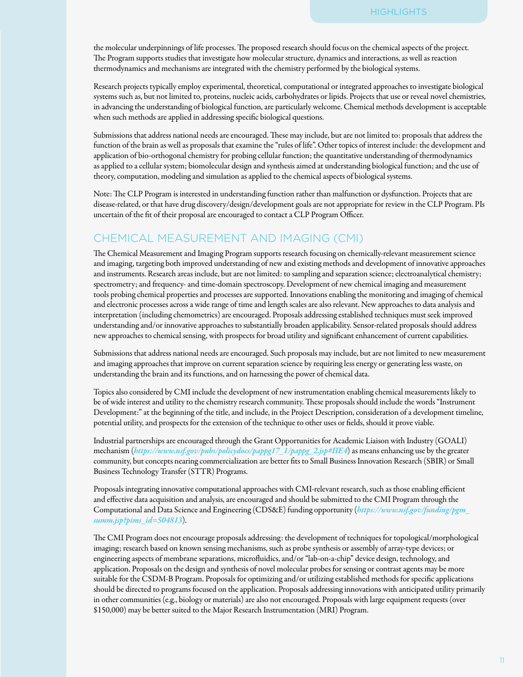the molecular underpinnings of life processes. The proposed research should focus on the chemical aspects of the project. The Program supports studies that investigate how molecular structure, dynamics and interactions, as well as reaction thermodynamics and mechanisms are integrated with the chemistry performed by the biological systems.

Research projects typically employ experimental, theoretical, computational or integrated approaches to investigate biological systems such as, but not limited to, proteins, nucleic acids, carbohydrates or lipids. Projects that use or reveal novel chemistries, in advancing the understanding of biological function, are particularly welcome. Chemical methods development is acceptable when such methods are applied in addressing specific biological questions.

Submissions that address national needs are encouraged. These may include, but are not limited to: proposals that address the function of the brain as well as proposals that examine the "rules of life". Other topics of interest include: the development and application of bio-orthogonal chemistry for probing cellular function; the quantitative understanding of thermodynamics as applied to a cellular system; biomolecular design and synthesis aimed at understanding biological function; and the use of theory, computation, modeling and simulation as applied to the chemical aspects of biological systems.

Note: The CLP Program is interested in understanding function rather than malfunction or dysfunction. Projects that are disease-related, or that have drug discovery/design/development goals are not appropriate for review in the CLP Program. PIs uncertain of the fit of their proposal are encouraged to contact a CLP Program Officer.

# CHEMICAL MEASUREMENT AND IMAGING (CMI)

The Chemical Measurement and Imaging Program supports research focusing on chemically-relevant measurement science and imaging, targeting both improved understanding of new and existing methods and development of innovative approaches and instruments. Research areas include, but are not limited: to sampling and separation science; electroanalytical chemistry; spectrometry; and frequency- and time-domain spectroscopy. Development of new chemical imaging and measurement tools probing chemical properties and processes are supported. Innovations enabling the monitoring and imaging of chemical and electronic processes across a wide range of time and length scales are also relevant. New approaches to data analysis and interpretation (including chemometrics) are encouraged. Proposals addressing established techniques must seek improved understanding and/or innovative approaches to substantially broaden applicability. Sensor-related proposals should address new approaches to chemical sensing, with prospects for broad utility and significant enhancement of current capabilities.

Submissions that address national needs are encouraged. Such proposals may include, but are not limited to new measurement and imaging approaches that improve on current separation science by requiring less energy or generating less waste, on understanding the brain and its functions, and on harnessing the power of chemical data.

Topics also considered by CMI include the development of new instrumentation enabling chemical measurements likely to be of wide interest and utility to the chemistry research community. These proposals should include the words "Instrument Development:" at the beginning of the title, and include, in the Project Description, consideration of a development timeline, potential utility, and prospects for the extension of the technique to other uses or fields, should it prove viable.

Industrial partnerships are encouraged through the Grant Opportunities for Academic Liaison with Industry (GOALI) mechanism (*[https://www.nsf.gov/pubs/policydocs/pappg17\\_1/pappg\\_2.jsp#IIE4](https://www.nsf.gov/pubs/policydocs/pappg17_1/pappg_2.jsp#IIE4)*) as means enhancing use by the greater community, but concepts nearing commercialization are better fits to Small Business Innovation Research (SBIR) or Small Business Technology Transfer (STTR) Programs.

Proposals integrating innovative computational approaches with CMI-relevant research, such as those enabling efficient and effective data acquisition and analysis, are encouraged and should be submitted to the CMI Program through the Computational and Data Science and Engineering (CDS&E) funding opportunity (*[https://www.nsf.gov/funding/pgm\\_](https://www.nsf.gov/funding/pgm_summ.jsp?pims_id=504813) [summ.jsp?pims\\_id=504813](https://www.nsf.gov/funding/pgm_summ.jsp?pims_id=504813)*).

The CMI Program does not encourage proposals addressing: the development of techniques for topological/morphological imaging; research based on known sensing mechanisms, such as probe synthesis or assembly of array-type devices; or engineering aspects of membrane separations, microfluidics, and/or "lab-on-a-chip" device design, technology, and application. Proposals on the design and synthesis of novel molecular probes for sensing or contrast agents may be more suitable for the CSDM-B Program. Proposals for optimizing and/or utilizing established methods for specific applications should be directed to programs focused on the application. Proposals addressing innovations with anticipated utility primarily in other communities (e.g., biology or materials) are also not encouraged. Proposals with large equipment requests (over \$150,000) may be better suited to the Major Research Instrumentation (MRI) Program.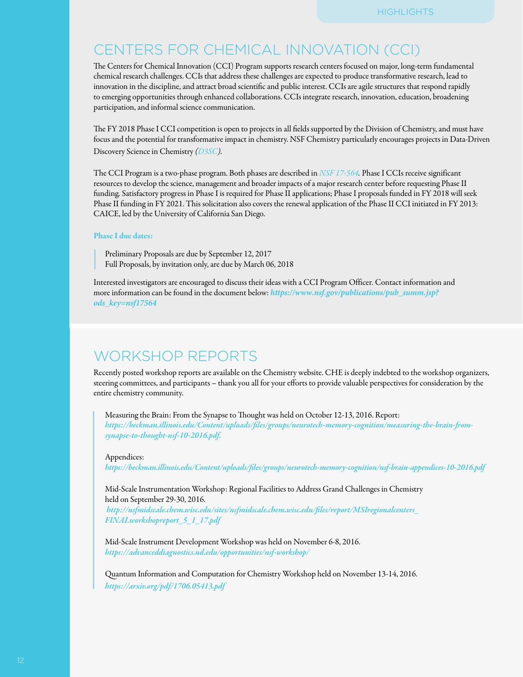# CENTERS FOR CHEMICAL INNOVATION (CCI)

The Centers for Chemical Innovation (CCI) Program supports research centers focused on major, long-term fundamental chemical research challenges. CCIs that address these challenges are expected to produce transformative research, lead to innovation in the discipline, and attract broad scientific and public interest. CCIs are agile structures that respond rapidly to emerging opportunities through enhanced collaborations. CCIs integrate research, innovation, education, broadening participation, and informal science communication.

The FY 2018 Phase I CCI competition is open to projects in all fields supported by the Division of Chemistry, and must have focus and the potential for transformative impact in chemistry. NSF Chemistry particularly encourages projects in Data-Driven Discovery Science in Chemistry *[\(D3SC\)](https://www.nsf.gov/publications/pub_summ.jsp?ods_key=nsf17036).* 

The CCI Program is a two-phase program. Both phases are described in *[NSF 17-564](https://www.nsf.gov/publications/pub_summ.jsp?ods_key=nsf17564).* Phase I CCIs receive significant resources to develop the science, management and broader impacts of a major research center before requesting Phase II funding. Satisfactory progress in Phase I is required for Phase II applications; Phase I proposals funded in FY 2018 will seek Phase II funding in FY 2021. This solicitation also covers the renewal application of the Phase II CCI initiated in FY 2013: CAICE, led by the University of California San Diego.

#### Phase I due dates:

Preliminary Proposals are due by September 12, 2017 Full Proposals, by invitation only, are due by March 06, 2018

Interested investigators are encouraged to discuss their ideas with a CCI Program Officer. Contact information and more information can be found in the document below: *[https://www.nsf.gov/publications/pub\\_summ.jsp?](https://www.nsf.gov/publications/pub_summ.jsp?ods_key=nsf17564) [ods\\_key=nsf17564](https://www.nsf.gov/publications/pub_summ.jsp?ods_key=nsf17564)*

# WORKSHOP REPORTS

Recently posted workshop reports are available on the Chemistry website. CHE is deeply indebted to the workshop organizers, steering committees, and participants – thank you all for your efforts to provide valuable perspectives for consideration by the entire chemistry community.

Measuring the Brain: From the Synapse to Thought was held on October 12-13, 2016. Report: *[https://beckman.illinois.edu/Content/uploads/files/groups/neurotech-memory-cognition/measuring-the-brain-from](https://www.nsf.gov/cgi-bin/goodbye?https://beckman.illinois.edu/Content/uploads/files/groups/neurotech-memory-cognition/measuring-the-brain-from-synapse-to-thought-nsf-10-2016.pdf)[synapse-to-thought-nsf-10-2016.pdf.](https://www.nsf.gov/cgi-bin/goodbye?https://beckman.illinois.edu/Content/uploads/files/groups/neurotech-memory-cognition/measuring-the-brain-from-synapse-to-thought-nsf-10-2016.pdf)* 

#### Appendices:

*[https://beckman.illinois.edu/Content/uploads/files/groups/neurotech-memory-cognition/nsf-brain-appendices-10-2016.pdf](https://www.nsf.gov/cgi-bin/goodbye?https://beckman.illinois.edu/Content/uploads/files/groups/neurotech-memory-cognition/nsf-brain-appendices-10-2016.pdf)*

Mid-Scale Instrumentation Workshop: Regional Facilities to Address Grand Challenges in Chemistry held on September 29-30, 2016. *[http://nsfmidscale.chem.wisc.edu/sites/nsfmidscale.chem.wisc.edu/files/report/MSIregionalcenters\\_](https://www.nsf.gov/cgi-bin/goodbye?http://nsfmidscale.chem.wisc.edu/sites/nsfmidscale.chem.wisc.edu/files/report/MSIregionalcenters_FINALworkshopreport_5_1_17.pdf)*

*[FINALworkshopreport\\_5\\_1\\_17.pdf](https://www.nsf.gov/cgi-bin/goodbye?http://nsfmidscale.chem.wisc.edu/sites/nsfmidscale.chem.wisc.edu/files/report/MSIregionalcenters_FINALworkshopreport_5_1_17.pdf)*

Mid-Scale Instrument Development Workshop was held on November 6-8, 2016. *[https://advanceddiagnostics.nd.edu/opportunities/nsf-workshop/](https://www.nsf.gov/cgi-bin/goodbye?https://advanceddiagnostics.nd.edu/opportunities/nsf-workshop/)*

Quantum Information and Computation for Chemistry Workshop held on November 13-14, 2016. *[https://arxiv.org/pdf/1706.05413.pdf](https://www.nsf.gov/cgi-bin/goodbye?https://arxiv.org/pdf/1706.05413.pdf)*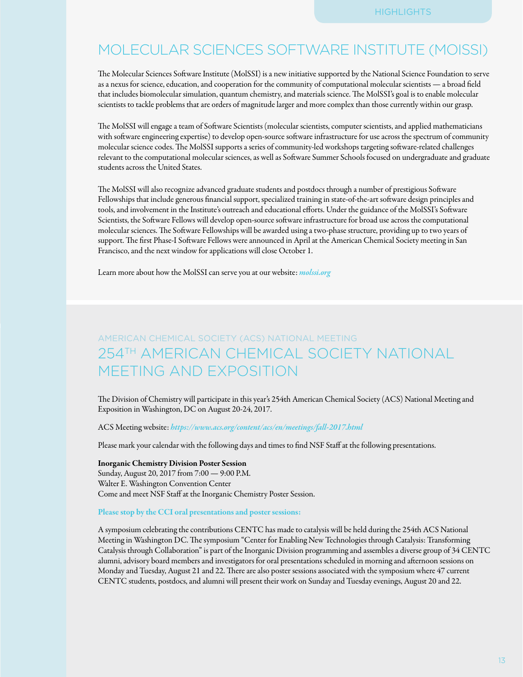# MOLECULAR SCIENCES SOFTWARE INSTITUTE (MOISSI)

The Molecular Sciences Software Institute (MolSSI) is a new initiative supported by the National Science Foundation to serve as a nexus for science, education, and cooperation for the community of computational molecular scientists — a broad field that includes biomolecular simulation, quantum chemistry, and materials science. The MolSSI's goal is to enable molecular scientists to tackle problems that are orders of magnitude larger and more complex than those currently within our grasp.

The MolSSI will engage a team of Software Scientists (molecular scientists, computer scientists, and applied mathematicians with software engineering expertise) to develop open-source software infrastructure for use across the spectrum of community molecular science codes. The MolSSI supports a series of community-led workshops targeting software-related challenges relevant to the computational molecular sciences, as well as Software Summer Schools focused on undergraduate and graduate students across the United States.

The MolSSI will also recognize advanced graduate students and postdocs through a number of prestigious Software Fellowships that include generous financial support, specialized training in state-of-the-art software design principles and tools, and involvement in the Institute's outreach and educational efforts. Under the guidance of the MolSSI's Software Scientists, the Software Fellows will develop open-source software infrastructure for broad use across the computational molecular sciences. The Software Fellowships will be awarded using a two-phase structure, providing up to two years of support. The first Phase-I Software Fellows were announced in April at the American Chemical Society meeting in San Francisco, and the next window for applications will close October 1.

Learn more about how the MolSSI can serve you at our website: *[molssi.org](https://www.nsf.gov/cgi-bin/goodbye?http://molssi.org)*

# AMERICAN CHEMICAL SOCIETY (ACS) NATIONAL MEETING 254TH AMERICAN CHEMICAL SOCIETY NATIONAL MEETING AND EXPOSITION

The Division of Chemistry will participate in this year's 254th American Chemical Society (ACS) National Meeting and Exposition in Washington, DC on August 20-24, 2017.

ACS Meeting website: *[https://www.acs.org/content/acs/en/meetings/fall-2017.html](https://www.nsf.gov/cgi-bin/goodbye?https://www.acs.org/content/acs/en/meetings/fall-2017.html)*

Please mark your calendar with the following days and times to find NSF Staff at the following presentations.

#### Inorganic Chemistry Division Poster Session

Sunday, August 20, 2017 from 7:00 — 9:00 P.M. Walter E. Washington Convention Center Come and meet NSF Staff at the Inorganic Chemistry Poster Session.

#### Please stop by the CCI oral presentations and poster sessions:

A symposium celebrating the contributions CENTC has made to catalysis will be held during the 254th ACS National Meeting in Washington DC. The symposium "Center for Enabling New Technologies through Catalysis: Transforming Catalysis through Collaboration" is part of the Inorganic Division programming and assembles a diverse group of 34 CENTC alumni, advisory board members and investigators for oral presentations scheduled in morning and afternoon sessions on Monday and Tuesday, August 21 and 22. There are also poster sessions associated with the symposium where 47 current CENTC students, postdocs, and alumni will present their work on Sunday and Tuesday evenings, August 20 and 22.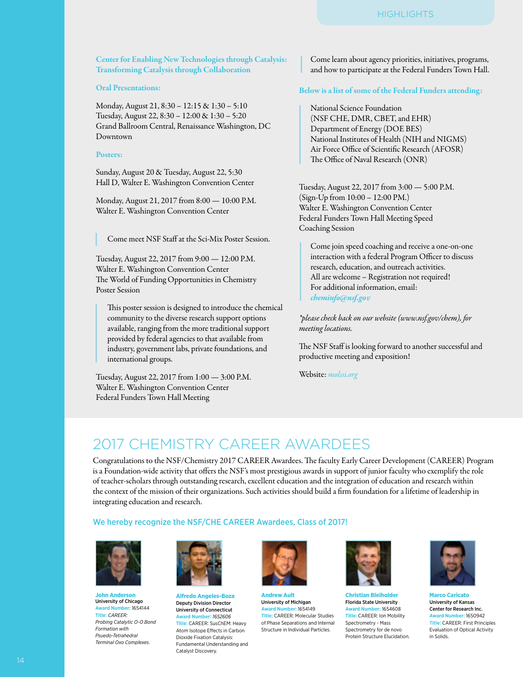#### Center for Enabling New Technologies through Catalysis: Transforming Catalysis through Collaboration

#### Oral Presentations:

Monday, August 21, 8:30 – 12:15 & 1:30 – 5:10 Tuesday, August 22, 8:30 – 12:00 & 1:30 – 5:20 Grand Ballroom Central, Renaissance Washington, DC Downtown

#### Posters:

Sunday, August 20 & Tuesday, August 22, 5:30 Hall D, Walter E. Washington Convention Center

Monday, August 21, 2017 from 8:00 — 10:00 P.M. Walter E. Washington Convention Center

Come meet NSF Staff at the Sci-Mix Poster Session.

Tuesday, August 22, 2017 from 9:00 — 12:00 P.M. Walter E. Washington Convention Center The World of Funding Opportunities in Chemistry Poster Session

This poster session is designed to introduce the chemical community to the diverse research support options available, ranging from the more traditional support provided by federal agencies to that available from industry, government labs, private foundations, and international groups.

Tuesday, August 22, 2017 from 1:00 — 3:00 P.M. Walter E. Washington Convention Center Federal Funders Town Hall Meeting

Come learn about agency priorities, initiatives, programs, and how to participate at the Federal Funders Town Hall.

#### Below is a list of some of the Federal Funders attending:

National Science Foundation (NSF CHE, DMR, CBET, and EHR) Department of Energy (DOE BES) National Institutes of Health (NIH and NIGMS) Air Force Office of Scientific Research (AFOSR) The Office of Naval Research (ONR)

Tuesday, August 22, 2017 from 3:00 — 5:00 P.M. (Sign-Up from 10:00 – 12:00 PM.) Walter E. Washington Convention Center Federal Funders Town Hall Meeting Speed Coaching Session

Come join speed coaching and receive a one-on-one interaction with a federal Program Officer to discuss research, education, and outreach activities. All are welcome – Registration not required! For additional information, email: *[cheminfo@nsf.gov](mailto:cheminfo@nsf.gov)*

*\*please check back on our website (www.nsf.gov/chem), for meeting locations.* 

The NSF Staff is looking forward to another successful and productive meeting and exposition!

Website: *[molssi.org](https://www.nsf.gov/cgi-bin/goodbye?http://molssi.org)*

# 2017 CHEMISTRY CAREER AWARDEES

Congratulations to the NSF/Chemistry 2017 CAREER Awardees. The faculty Early Career Development (CAREER) Program is a Foundation-wide activity that offers the NSF's most prestigious awards in support of junior faculty who exemplify the role of teacher-scholars through outstanding research, excellent education and the integration of education and research within the context of the mission of their organizations. Such activities should build a firm foundation for a lifetime of leadership in integrating education and research.

#### We hereby recognize the NSF/CHE CAREER Awardees, Class of 2017!



**John Ande** University of Chicago **Award Number:** 1654144 **Title:** *CAREER: Probing Catalytic O-O Bond Formation with Psuedo-Tetrahedral Terminal Oxo Complexes.*



Alfredo Angeles-Boza Deputy Division Director University of Connecticut **Award Number:** *1652606* **Title:** CAREER: SusChEM: Heavy Atom Isotope Effects in Carbon Dioxide Fixation Catalysis: Fundamental Understanding and Catalyst Discovery.



Andrew Ault University of Michigan **Award Number:** 1654149 **Title:** CAREER: Molecular Studies of Phase Separations and Internal Structure in Individual Particles.



Christian Bleiholder Florida State University **Award Number:** 1654608 **Title:** CAREER: Ion Mobility Spectrometry - Mass Spectrometry for de novo Protein Structure Elucidation.



Marco Caricato University of Kansas Center for Research Inc. **Award Number:** 1650942 **Title:** CAREER: First Principles Evaluation of Optical Activity in Solids.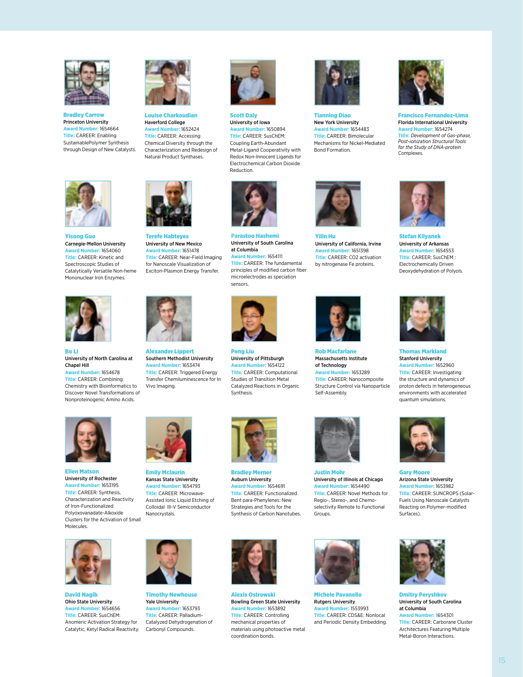

Bradley Carrow Princeton University **Award Number:** 1654664 **Title:** CAREER: Enabling SustainablePolymer Synthesis through Design of New Catalysts.



Louise Charkoudian Haverford College **Award Number:** 1652424 **Title:** CAREER: Accessing Chemical Diversity through the Characterization and Redesign of Natural Product Synthases.



Scott Daly University of Iowa **Award Number:** 1650894 **Title:** CAREER: SusChEM: Coupling Earth-Abundant Metal-Ligand Cooperativity with Redox Non-Innocent Ligands for Electrochemical Carbon Dioxide Reduction.

**Pa**rastoo Hashemi

eng Liu University of Pittsburgh **Award Number:** 1654122 **Title:** CAREER: Computational Studies of Transition Metal Catalyzed Reactions in Organic

Synthesis.



Tianning Diao New York University **Award Number:** 1654483 **Title:** CAREER: Bimolecular Mechanisms for Nickel-Mediated Bond Formation.



Florida International University **Award Number:** 1654274 **Title:** *Development of Gas-phase, Post-ionization Structural Tools for the Study of DNA-protein*  Complexes.



Yisong Guo Carnegie-Mellon University **Award Number:** 1654060 **Title:** CAREER: Kinetic and Spectroscopic Studies of Catalytically Versatile Non-heme Mononuclear Iron Enzymes.



Bo Li University of North Carolina at Chapel Hill





Terefe Habteyes University of New Mexico **Award Number:** 1651478 **Title:** CAREER: Near-Field Imaging for Nanoscale Visualization of Exciton-Plasmon Energy Transfer.



Alexander Lippert Southern Methodist University **Award Number:** 1653474 **Title:** CAREER: Triggered Energy Transfer Chemiluminescence for In Vivo Imaging.



University of South Carolina at Columbia **Award Number:** 1654111 **Title:** CAREER: The fundamental principles of modified carbon fiber microelectrodes as speciation sensors.







Yilin Hu University of California, Irvine **Award Number:** 1651398 **Title:** CAREER: CO2 activation by nitrogenase Fe proteins.



**Rob Macfarlan** Massachusetts Institute of Technology **Award Number:** 1653289 **Title:** CAREER: Nanocomposite Structure Control via Nanoparticle Self-Assembly.



Justin Mohr University of Illinois at Chicago **Award Number:** 1654490 **Title:** CAREER: Novel Methods for Regio-, Stereo-, and Chemoselectivity Remote to Functional Groups.



Bradley Merner Auburn University **Award Number:** 1654691 **Title:** CAREER: Functionalized Bent para-Phenylenes: New Strategies and Tools for the Synthesis of Carbon Nanotubes.

Alexis Ostrowski Bowling Green State University **Award Number:** 1653892 **Title:** CAREER: Controlling mechanical properties of materials using photoactive metal coordination bonds.



Michele Pavanello Rutgers University **Award Number:** 1553993 **Title:** CAREER: CDS&E: Nonlocal and Periodic Density Embedding.



Stefan Kilyanek University of Arkansas **Award Number:** 1654553 **Title**: CAREER: SusChEM : Electrochemically Driven Deoxydehydration of Polyols.



as Markland Stanford University **Award Number:** 1652960 **Title:** CAREER: Investigating the structure and dynamics of proton defects in heterogeneous environments with accelerated quantum simulations.



Gary Moore Arizona State University **Award Number:** 1653982 **Title:** CAREER: SUNCROPS (Solar-Fuels Using Nanoscale Catalysts Reacting on Polymer-modified Surfaces).



Dmitry Peryshkov University of South Carolina at Columbia **Award Number: 1**654301 **Title:** CAREER: Carborane Cluster Architectures Featuring Multiple

Metal-Boron Interactions.



Ellen Matson University of Rochester **Award Number:** 1653195 **Title:** CAREER: Synthesis, Characterization and Reactivity of Iron-Functionalized Polyoxovanadate-Alkoxide Clusters for the Activation of Small Molecules.



David Nagib Ohio State University **Award Number:** 1654656 **Title:** CAREER: SusChEM: Anomeric Activation Strategy for Catalytic, Ketyl Radical Reactivity.



Timothy Newhouse Yale University **Award Number:** 1653793 **Title:** CAREER: Palladium-Catalyzed Dehydrogenation of Carbonyl Compounds.

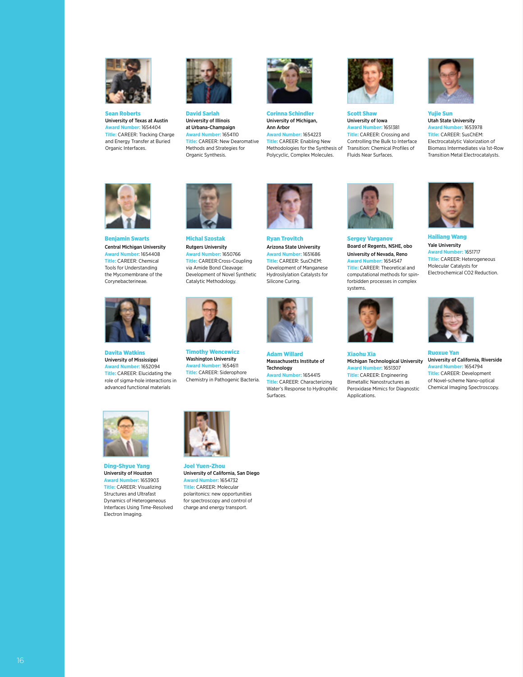

Sean Roberts University of Texas at Austin **Award Number:** 1654404 **Title:** CAREER: Tracking Charge and Energy Transfer at Buried Organic Interfaces.



David Sarlah University of Illinois at Urbana-Champaign **Award Number:** 1654110 **Title:** CAREER: New Dearomative Methods and Strategies for Organic Synthesis.



Corinna Schindler University of Michigan, Ann Arbor **Award Number:** 1654223 **Title:** CAREER: Enabling New Methodologies for the Synthesis of Polycyclic, Complex Molecules.



Scott Shaw University of Iowa **Award Number:** 1651381 **Title:** CAREER: Crossing and Controlling the Bulk to Interface Transition: Chemical Profiles of Fluids Near Surfaces.



Yujie Sun Utah State University **Award Number:** 1653978 **Title:** CAREER: SusChEM: Electrocatalytic Valorization of Biomass Intermediates via 1st-Row Transition Metal Electrocatalysts.



Benjamin Swarts Central Michigan University **Award Number**: 1654408 **Title:** CAREER: Chemical Tools for Understanding the Mycomembrane of the Corynebacterineae.



Davita Watkins University of Mississippi **Award Number:** 1652094 **Title:** CAREER: Elucidating the role of sigma-hole interactions in advanced functional materials



Michal Szostak Rutgers University **Award Number:** 1650766 **Title:** CAREER:Cross-Coupling via Amide Bond Cleavage: Development of Novel Synthetic Catalytic Methodology.



Timothy Wencewicz Washington University **Award Number:** 1654611 **Title:** CAREER: Siderophore Chemistry in Pathogenic Bacteria.



Ryan Trovitch Arizona State University **Award Number:** 1651686 **Title:** CAREER: SusChEM: Development of Manganese Hydrosilylation Catalysts for Silicone Curing.



Adam Willard Massachusetts Institute of Technology **Award Number:** 1654415 **Title:** CAREER: Characterizing Water's Response to Hydrophilic Surfaces.



Sergey Varganov Board of Regents, NSHE, obo University of Nevada, Reno **Award Number:** 1654547 **Title:** CAREER: Theoretical and computational methods for spinforbidden processes in complex systems.



Xiaohu Xia Michigan Technological University<br>**Award Number:** 1651307 **ber:** 1651307 **Title:** CAREER: Engineering Bimetallic Nanostructures as Peroxidase Mimics for Diagnostic Applications.



Hailiang Wang Yale University **Award Number: 1**651717 **Title:** CAREER: Heterogeneous Molecular Catalysts for Electrochemical CO2 Reduction.



Ruoxue Yan University of California, Riverside **Award Number:** 1654794 **Title:** CAREER: Development of Novel-scheme Nano-optical Chemical Imaging Spectroscopy.



Ding-Shyue Yang University of Houston **Award Number:** 1653903 **Title:** CAREER: Visualizing Structures and Ultrafast Dynamics of Heterogeneous Interfaces Using Time-Resolved Electron Imaging.



Joel Yuen-Zhou University of California, San Diego **Award Number:** 1654732 **Title:** CAREER: Molecular polaritonics: new opportunities for spectroscopy and control of charge and energy transport.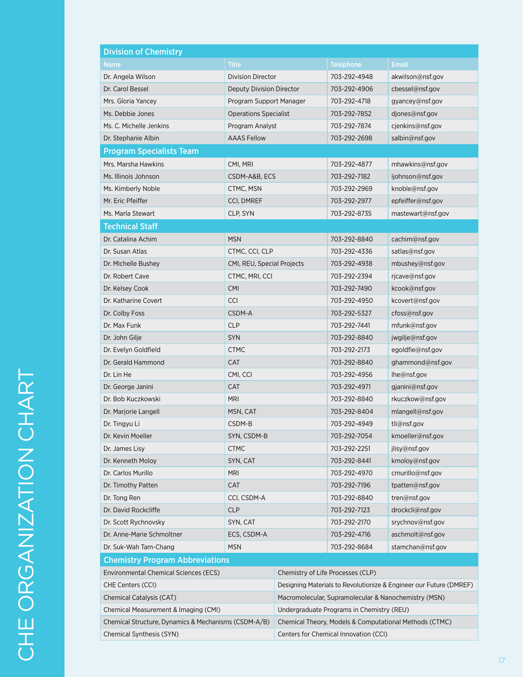| <b>Division of Chemistry</b>                         |                              |                                                                    |                  |                   |
|------------------------------------------------------|------------------------------|--------------------------------------------------------------------|------------------|-------------------|
| <b>Name</b>                                          | <b>Title</b>                 |                                                                    | <b>Telephone</b> | <b>Email</b>      |
| Dr. Angela Wilson                                    | <b>Division Director</b>     |                                                                    | 703-292-4948     | akwilson@nsf.gov  |
| Dr. Carol Bessel                                     | Deputy Division Director     |                                                                    | 703-292-4906     | cbessel@nsf.gov   |
| Mrs. Gloria Yancey                                   | Program Support Manager      |                                                                    | 703-292-4718     | gyancey@nsf.gov   |
| Ms. Debbie Jones                                     | <b>Operations Specialist</b> |                                                                    | 703-292-7852     | djones@nsf.gov    |
| Ms. C. Michelle Jenkins                              | Program Analyst              |                                                                    | 703-292-7874     | cjenkins@nsf.gov  |
| Dr. Stephanie Albin                                  | <b>AAAS Fellow</b>           |                                                                    | 703-292-2698     | salbin@nsf.gov    |
| <b>Program Specialists Team</b>                      |                              |                                                                    |                  |                   |
| Mrs. Marsha Hawkins                                  | CMI, MRI                     |                                                                    | 703-292-4877     | mhawkins@nsf.gov  |
| Ms. Illinois Johnson                                 | CSDM-A&B, ECS                |                                                                    | 703-292-7182     | ijohnson@nsf.gov  |
| Ms. Kimberly Noble                                   | CTMC, MSN                    |                                                                    | 703-292-2969     | knoble@nsf.gov    |
| Mr. Eric Pfeiffer                                    | CCI, DMREF                   |                                                                    | 703-292-2977     | epfeiffer@nsf.gov |
| Ms. Marla Stewart                                    | CLP, SYN                     |                                                                    | 703-292-8735     | mastewart@nsf.gov |
| <b>Technical Staff</b>                               |                              |                                                                    |                  |                   |
| Dr. Catalina Achim                                   | <b>MSN</b>                   |                                                                    | 703-292-8840     | caching@nsf.gov   |
| Dr. Susan Atlas                                      | CTMC, CCI, CLP               |                                                                    | 703-292-4336     | satlas@nsf.gov    |
| Dr. Michelle Bushey                                  | CMI, REU, Special Projects   |                                                                    | 703-292-4938     | mbushey@nsf.gov   |
| Dr. Robert Cave                                      | CTMC, MRI, CCI               |                                                                    | 703-292-2394     | rjcave@nsf.gov    |
| Dr. Kelsey Cook                                      | CMI                          |                                                                    | 703-292-7490     | kcook@nsf.gov     |
| Dr. Katharine Covert                                 | <b>CCI</b>                   |                                                                    | 703-292-4950     | kcovert@nsf.gov   |
| Dr. Colby Foss                                       | CSDM-A                       |                                                                    | 703-292-5327     | cfoss@nsf.gov     |
| Dr. Max Funk                                         | <b>CLP</b>                   |                                                                    | 703-292-7441     | mfunk@nsf.gov     |
| Dr. John Gilje                                       | <b>SYN</b>                   |                                                                    | 703-292-8840     | jwgilje@nsf.gov   |
| Dr. Evelyn Goldfield                                 | <b>CTMC</b>                  |                                                                    | 703-292-2173     | egoldfie@nsf.gov  |
| Dr. Gerald Hammond                                   | <b>CAT</b>                   |                                                                    | 703-292-8840     | ghammond@nsf.gov  |
| Dr. Lin He                                           | CMI, CCI                     |                                                                    | 703-292-4956     | lhe@nsf.gov       |
| Dr. George Janini                                    | <b>CAT</b>                   |                                                                    | 703-292-4971     | gjanini@nsf.gov   |
| Dr. Bob Kuczkowski                                   | <b>MRI</b>                   |                                                                    | 703-292-8840     | rkuczkow@nsf.gov  |
| Dr. Marjorie Langell                                 | MSN, CAT                     |                                                                    | 703-292-8404     | mlangell@nsf.gov  |
| Dr. Tingyu Li                                        | CSDM-B                       |                                                                    | 703-292-4949     | tli@nsf.gov       |
| Dr. Kevin Moeller                                    | SYN, CSDM-B                  |                                                                    | 703-292-7054     | kmoeller@nsf.gov  |
| Dr. James Lisy                                       | <b>CTMC</b>                  |                                                                    | 703-292-2251     | jlisy@nsf.gov     |
| Dr. Kenneth Moloy                                    | SYN, CAT                     |                                                                    | 703-292-8441     | kmoloy@nsf.gov    |
| Dr. Carlos Murillo                                   | <b>MRI</b>                   |                                                                    | 703-292-4970     | cmurillo@nsf.gov  |
| Dr. Timothy Patten                                   | <b>CAT</b>                   |                                                                    | 703-292-7196     | tpatten@nsf.gov   |
| Dr. Tong Ren                                         | CCI, CSDM-A                  |                                                                    | 703-292-8840     | tren@nsf.gov      |
| Dr. David Rockcliffe                                 | <b>CLP</b>                   |                                                                    | 703-292-7123     | drockcli@nsf.gov  |
| Dr. Scott Rychnovsky                                 | SYN, CAT                     |                                                                    | 703-292-2170     | srychnov@nsf.gov  |
| Dr. Anne-Marie Schmoltner                            | ECS, CSDM-A                  |                                                                    | 703-292-4716     | aschmolt@nsf.gov  |
| Dr. Suk-Wah Tam-Chang                                | <b>MSN</b>                   |                                                                    | 703-292-8684     | stamchan@nsf.gov  |
| <b>Chemistry Program Abbreviations</b>               |                              |                                                                    |                  |                   |
| Environmental Chemical Sciences (ECS)                |                              | Chemistry of Life Processes (CLP)                                  |                  |                   |
| CHE Centers (CCI)                                    |                              | Designing Materials to Revolutionize & Engineer our Future (DMREF) |                  |                   |
| Chemical Catalysis (CAT)                             |                              | Macromolecular, Supramolecular & Nanochemistry (MSN)               |                  |                   |
| Chemical Measurement & Imaging (CMI)                 |                              | Undergraduate Programs in Chemistry (REU)                          |                  |                   |
| Chemical Structure, Dynamics & Mechanisms (CSDM-A/B) |                              | Chemical Theory, Models & Computational Methods (CTMC)             |                  |                   |
| Chemical Synthesis (SYN)                             |                              | Centers for Chemical Innovation (CCI)                              |                  |                   |
|                                                      |                              |                                                                    |                  |                   |